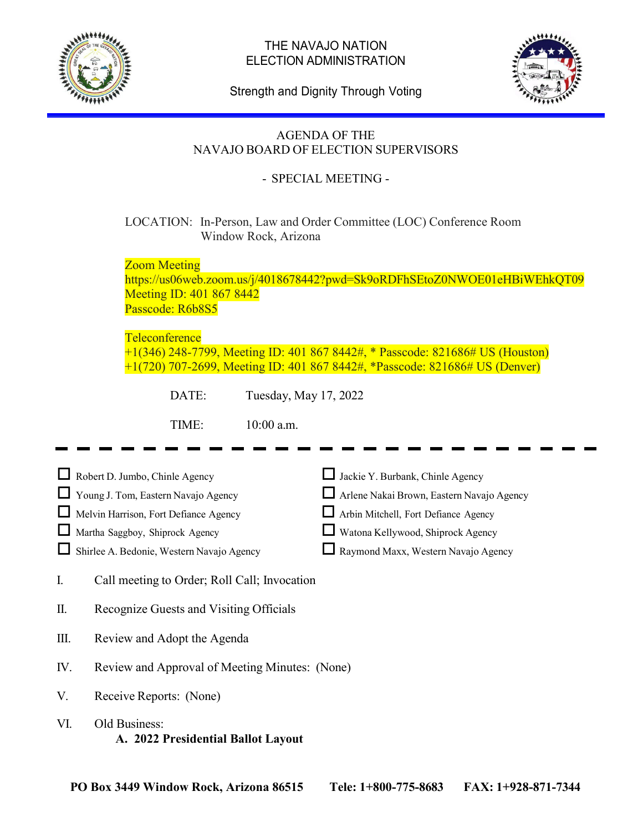

#### THE NAVAJO NATION ELECTION ADMINISTRATION



Strength and Dignity Through Voting

#### AGENDA OF THE NAVAJO BOARD OF ELECTION SUPERVISORS

## - SPECIAL MEETING -

### LOCATION: In-Person, Law and Order Committee (LOC) Conference Room Window Rock, Arizona

Zoom Meeting

https://us06web.zoom.us/j/4018678442?pwd=Sk9oRDFhSEtoZ0NWOE01eHBiWEhkQT09 Meeting ID: 401 867 8442 Passcode: R6b8S5

#### **Teleconference**

+1(346) 248-7799, Meeting ID: 401 867 8442#, \* Passcode: 821686# US (Houston) +1(720) 707-2699, Meeting ID: 401 867 8442#, \*Passcode: 821686# US (Denver)

DATE: Tuesday, May 17, 2022

TIME: 10:00 a.m.

Robert D. Jumbo, Chinle Agency  $\Box$  Jackie Y. Burbank, Chinle Agency

 $\Box$  Young J. Tom, Eastern Navajo Agency  $\Box$  Arlene Nakai Brown, Eastern Navajo Agency

 $\Box$  Melvin Harrison, Fort Defiance Agency  $\Box$  Arbin Mitchell, Fort Defiance Agency

Martha Saggboy, Shiprock Agency Martha Saggboy, Shiprock Agency

 $\Box$  Shirlee A. Bedonie, Western Navajo Agency  $\Box$  Raymond Maxx, Western Navajo Agency

- I. Call meeting to Order; Roll Call; Invocation
- II. Recognize Guests and Visiting Officials
- III. Review and Adopt the Agenda
- IV. Review and Approval of Meeting Minutes: (None)
- V. Receive Reports: (None)
- VI. Old Business: **A. 2022 Presidential Ballot Layout**